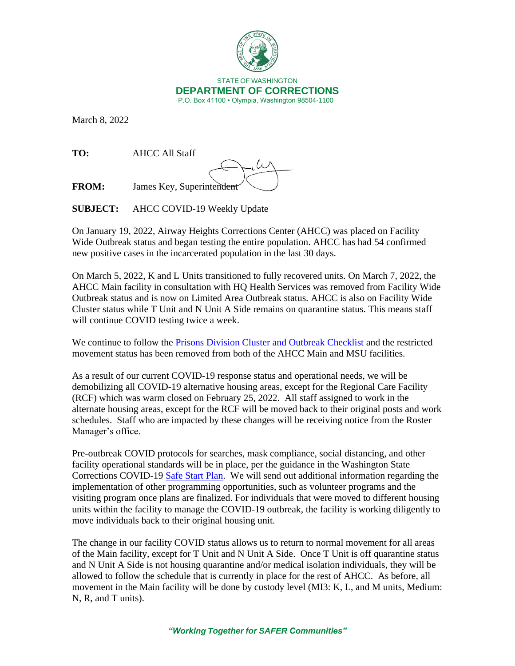

March 8, 2022

**TO:** AHCC All Staff

**FROM:** James Key, Superintendent

**SUBJECT:** AHCC COVID-19 Weekly Update

On January 19, 2022, Airway Heights Corrections Center (AHCC) was placed on Facility Wide Outbreak status and began testing the entire population. AHCC has had 54 confirmed new positive cases in the incarcerated population in the last 30 days.

On March 5, 2022, K and L Units transitioned to fully recovered units. On March 7, 2022, the AHCC Main facility in consultation with HQ Health Services was removed from Facility Wide Outbreak status and is now on Limited Area Outbreak status. AHCC is also on Facility Wide Cluster status while T Unit and N Unit A Side remains on quarantine status. This means staff will continue COVID testing twice a week.

We continue to follow the [Prisons Division Cluster and Outbreak Checklist](https://doc.wa.gov/corrections/covid-19/docs/outbreak-checklist.pdf) and the restricted movement status has been removed from both of the AHCC Main and MSU facilities.

As a result of our current COVID-19 response status and operational needs, we will be demobilizing all COVID-19 alternative housing areas, except for the Regional Care Facility (RCF) which was warm closed on February 25, 2022. All staff assigned to work in the alternate housing areas, except for the RCF will be moved back to their original posts and work schedules. Staff who are impacted by these changes will be receiving notice from the Roster Manager's office.

Pre-outbreak COVID protocols for searches, mask compliance, social distancing, and other facility operational standards will be in place, per the guidance in the Washington State Corrections COVID-19 [Safe Start Plan.](https://www.doc.wa.gov/docs/publications/100-SP015.pdf) We will send out additional information regarding the implementation of other programming opportunities, such as volunteer programs and the visiting program once plans are finalized. For individuals that were moved to different housing units within the facility to manage the COVID-19 outbreak, the facility is working diligently to move individuals back to their original housing unit.

The change in our facility COVID status allows us to return to normal movement for all areas of the Main facility, except for T Unit and N Unit A Side. Once T Unit is off quarantine status and N Unit A Side is not housing quarantine and/or medical isolation individuals, they will be allowed to follow the schedule that is currently in place for the rest of AHCC. As before, all movement in the Main facility will be done by custody level (MI3: K, L, and M units, Medium: N, R, and T units).